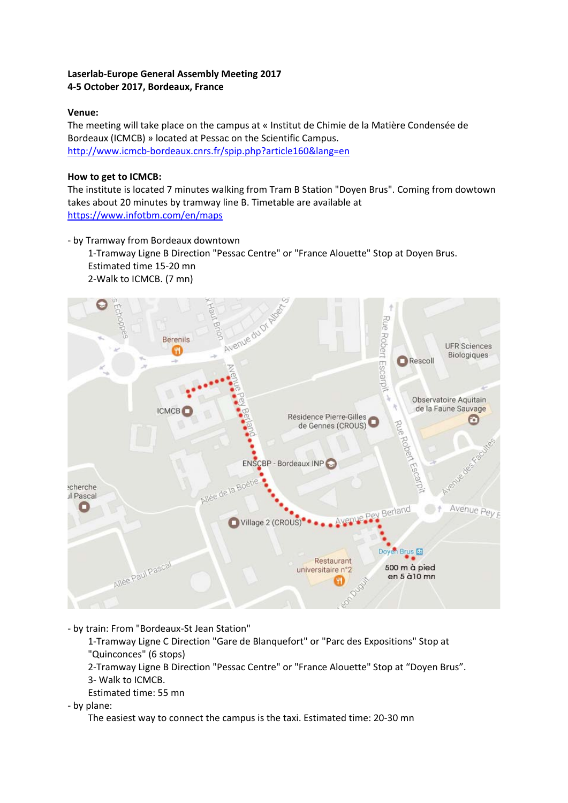## **Laserlab-Europe General Assembly Meeting 2017 4-5 October 2017, Bordeaux, France**

## **Venue:**

The meeting will take place on the campus at « Institut de Chimie de la Matière Condensée de Bordeaux (ICMCB) » located at Pessac on the Scientific Campus. <http://www.icmcb-bordeaux.cnrs.fr/spip.php?article160&lang=en>

## **How to get to ICMCB:**

The institute is located 7 minutes walking from Tram B Station "Doyen Brus". Coming from dowtown takes about 20 minutes by tramway line B. Timetable are available at <https://www.infotbm.com/en/maps>

- by Tramway from Bordeaux downtown

1-Tramway Ligne B Direction "Pessac Centre" or "France Alouette" Stop at Doyen Brus. Estimated time 15-20 mn 2-Walk to ICMCB. (7 mn)



- by train: From "Bordeaux-St Jean Station"

1-Tramway Ligne C Direction "Gare de Blanquefort" or "Parc des Expositions" Stop at "Quinconces" (6 stops)

2-Tramway Ligne B Direction "Pessac Centre" or "France Alouette" Stop at "Doyen Brus".

3- Walk to ICMCB.

Estimated time: 55 mn

- by plane:

The easiest way to connect the campus is the taxi. Estimated time: 20-30 mn